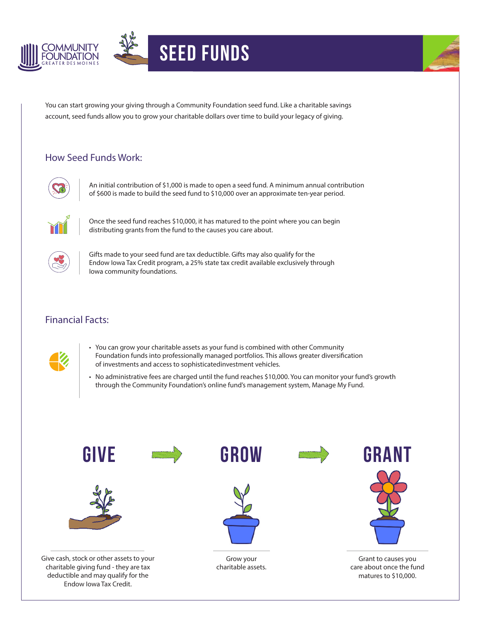



## Seed Funds



You can start growing your giving through a Community Foundation seed fund. Like a charitable savings account, seed funds allow you to grow your charitable dollars over time to build your legacy of giving.

## How Seed Funds Work:



An initial contribution of \$1,000 is made to open a seed fund. A minimum annual contribution of \$600 is made to build the seed fund to \$10,000 over an approximate ten-year period.



Once the seed fund reaches \$10,000, it has matured to the point where you can begin distributing grants from the fund to the causes you care about.



Gifts made to your seed fund are tax deductible. Gifts may also qualify for the Endow Iowa Tax Credit program, a 25% state tax credit available exclusively through Iowa community foundations.

## Financial Facts:



- You can grow your charitable assets as your fund is combined with other Community Foundation funds into professionally managed portfolios. This allows greater diversification of investments and access to sophisticatedinvestment vehicles.
- No administrative fees are charged until the fund reaches \$10,000. You can monitor your fund's growth through the Community Foundation's online fund's management system, Manage My Fund.